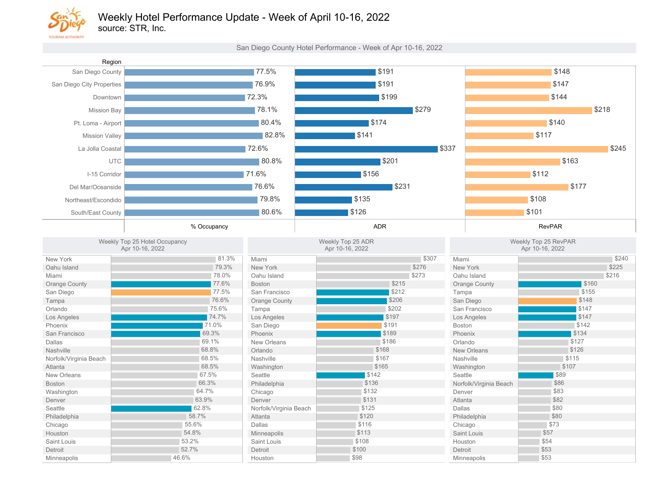

## Weekly Hotel Performance Update - Week of April 10-16, 2022

source: STR, Inc.

San Diego County Hotel Performance - Week of Apr 10-16, 2022

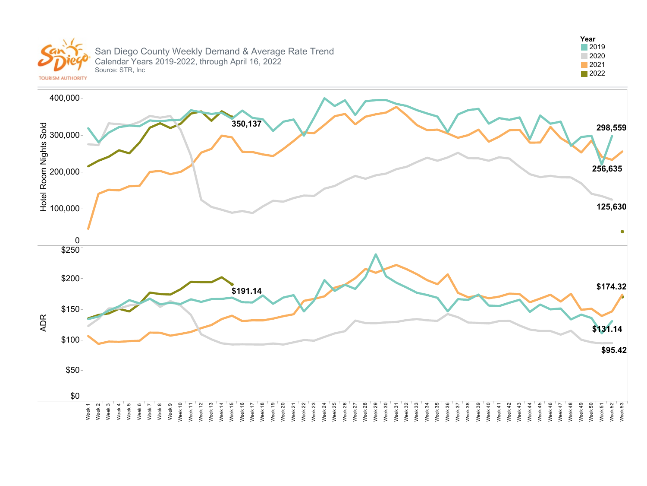

#### San Diego County Weekly Demand & Average Rate Trend Calendar Years 2019-2022, through April 16, 2022 Source: STR, Inc



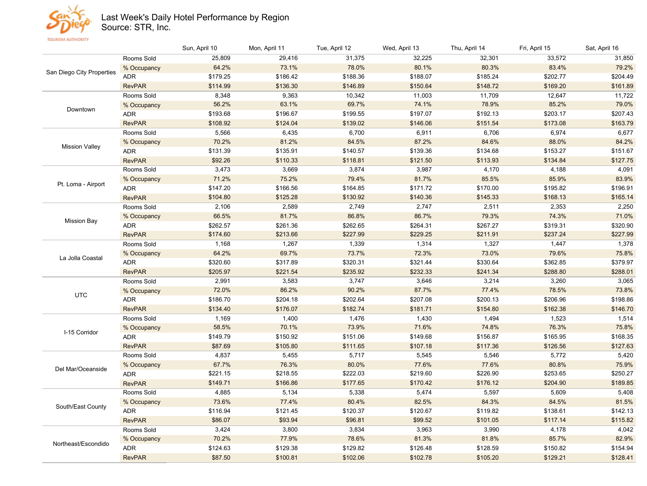

### Last Week's Daily Hotel Performance by Region

Source: STR, Inc.

**TOURISM AUTHORITY** 

|                           |               | Sun, April 10 | Mon, April 11 | Tue, April 12 | Wed, April 13 | Thu, April 14 | Fri, April 15 | Sat, April 16 |
|---------------------------|---------------|---------------|---------------|---------------|---------------|---------------|---------------|---------------|
| San Diego City Properties | Rooms Sold    | 25,809        | 29,416        | 31,375        | 32,225        | 32,301        | 33,572        | 31,850        |
|                           | % Occupancy   | 64.2%         | 73.1%         | 78.0%         | 80.1%         | 80.3%         | 83.4%         | 79.2%         |
|                           | <b>ADR</b>    | \$179.25      | \$186.42      | \$188.36      | \$188.07      | \$185.24      | \$202.77      | \$204.49      |
|                           | <b>RevPAR</b> | \$114.99      | \$136.30      | \$146.89      | \$150.64      | \$148.72      | \$169.20      | \$161.89      |
| Downtown                  | Rooms Sold    | 8,348         | 9,363         | 10,342        | 11,003        | 11,709        | 12,647        | 11,722        |
|                           | % Occupancy   | 56.2%         | 63.1%         | 69.7%         | 74.1%         | 78.9%         | 85.2%         | 79.0%         |
|                           | <b>ADR</b>    | \$193.68      | \$196.67      | \$199.55      | \$197.07      | \$192.13      | \$203.17      | \$207.43      |
|                           | <b>RevPAR</b> | \$108.92      | \$124.04      | \$139.02      | \$146.06      | \$151.54      | \$173.08      | \$163.79      |
| <b>Mission Vallev</b>     | Rooms Sold    | 5,566         | 6,435         | 6,700         | 6,911         | 6,706         | 6,974         | 6,677         |
|                           | % Occupancy   | 70.2%         | 81.2%         | 84.5%         | 87.2%         | 84.6%         | 88.0%         | 84.2%         |
|                           | ADR           | \$131.39      | \$135.91      | \$140.57      | \$139.36      | \$134.68      | \$153.27      | \$151.67      |
|                           | <b>RevPAR</b> | \$92.26       | \$110.33      | \$118.81      | \$121.50      | \$113.93      | \$134.84      | \$127.75      |
|                           | Rooms Sold    | 3,473         | 3,669         | 3,874         | 3,987         | 4,170         | 4,188         | 4,091         |
|                           | % Occupancy   | 71.2%         | 75.2%         | 79.4%         | 81.7%         | 85.5%         | 85.9%         | 83.9%         |
| Pt. Loma - Airport        | ADR           | \$147.20      | \$166.56      | \$164.85      | \$171.72      | \$170.00      | \$195.82      | \$196.91      |
|                           | <b>RevPAR</b> | \$104.80      | \$125.28      | \$130.92      | \$140.36      | \$145.33      | \$168.13      | \$165.14      |
| <b>Mission Bay</b>        | Rooms Sold    | 2,106         | 2,589         | 2,749         | 2,747         | 2,511         | 2,353         | 2,250         |
|                           | % Occupancy   | 66.5%         | 81.7%         | 86.8%         | 86.7%         | 79.3%         | 74.3%         | 71.0%         |
|                           | ADR           | \$262.57      | \$261.36      | \$262.65      | \$264.31      | \$267.27      | \$319.31      | \$320.90      |
|                           | <b>RevPAR</b> | \$174.60      | \$213.66      | \$227.99      | \$229.25      | \$211.91      | \$237.24      | \$227.99      |
| La Jolla Coastal          | Rooms Sold    | 1,168         | 1,267         | 1,339         | 1,314         | 1,327         | 1,447         | 1,378         |
|                           | % Occupancy   | 64.2%         | 69.7%         | 73.7%         | 72.3%         | 73.0%         | 79.6%         | 75.8%         |
|                           | ADR           | \$320.60      | \$317.89      | \$320.31      | \$321.44      | \$330.64      | \$362.85      | \$379.97      |
|                           | <b>RevPAR</b> | \$205.97      | \$221.54      | \$235.92      | \$232.33      | \$241.34      | \$288.80      | \$288.01      |
|                           | Rooms Sold    | 2,991         | 3,583         | 3,747         | 3,646         | 3,214         | 3,260         | 3,065         |
| <b>UTC</b>                | % Occupancy   | 72.0%         | 86.2%         | 90.2%         | 87.7%         | 77.4%         | 78.5%         | 73.8%         |
|                           | <b>ADR</b>    | \$186.70      | \$204.18      | \$202.64      | \$207.08      | \$200.13      | \$206.96      | \$198.86      |
|                           | <b>RevPAR</b> | \$134.40      | \$176.07      | \$182.74      | \$181.71      | \$154.80      | \$162.38      | \$146.70      |
|                           | Rooms Sold    | 1,169         | 1,400         | 1,476         | 1,430         | 1,494         | 1,523         | 1,514         |
| I-15 Corridor             | % Occupancy   | 58.5%         | 70.1%         | 73.9%         | 71.6%         | 74.8%         | 76.3%         | 75.8%         |
|                           | <b>ADR</b>    | \$149.79      | \$150.92      | \$151.06      | \$149.68      | \$156.87      | \$165.95      | \$168.35      |
|                           | <b>RevPAR</b> | \$87.69       | \$105.80      | \$111.65      | \$107.18      | \$117.36      | \$126.56      | \$127.63      |
| Del Mar/Oceanside         | Rooms Sold    | 4,837         | 5,455         | 5,717         | 5,545         | 5,546         | 5,772         | 5,420         |
|                           | % Occupancy   | 67.7%         | 76.3%         | 80.0%         | 77.6%         | 77.6%         | 80.8%         | 75.9%         |
|                           | ADR           | \$221.15      | \$218.55      | \$222.03      | \$219.60      | \$226.90      | \$253.65      | \$250.27      |
|                           | <b>RevPAR</b> | \$149.71      | \$166.86      | \$177.65      | \$170.42      | \$176.12      | \$204.90      | \$189.85      |
|                           | Rooms Sold    | 4,885         | 5,134         | 5,338         | 5,474         | 5,597         | 5,609         | 5,408         |
| South/East County         | % Occupancy   | 73.6%         | 77.4%         | 80.4%         | 82.5%         | 84.3%         | 84.5%         | 81.5%         |
|                           | ADR           | \$116.94      | \$121.45      | \$120.37      | \$120.67      | \$119.82      | \$138.61      | \$142.13      |
|                           | <b>RevPAR</b> | \$86.07       | \$93.94       | \$96.81       | \$99.52       | \$101.05      | \$117.14      | \$115.82      |
|                           | Rooms Sold    | 3,424         | 3,800         | 3,834         | 3,963         | 3,990         | 4,178         | 4,042         |
| Northeast/Escondido       | % Occupancy   | 70.2%         | 77.9%         | 78.6%         | 81.3%         | 81.8%         | 85.7%         | 82.9%         |
|                           | <b>ADR</b>    | \$124.63      | \$129.38      | \$129.82      | \$126.48      | \$128.59      | \$150.82      | \$154.94      |
|                           | <b>RevPAR</b> | \$87.50       | \$100.81      | \$102.06      | \$102.78      | \$105.20      | \$129.21      | \$128.41      |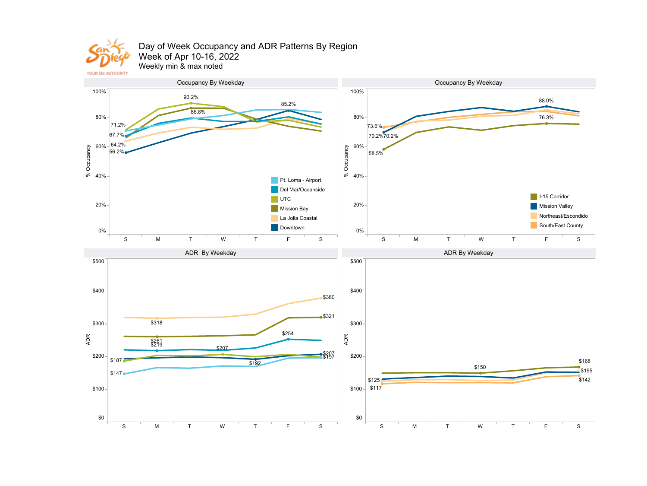

### Day of Week Occupancy and ADR Patterns By Region Week of Apr 10-16, 2022

Weekly min & max noted